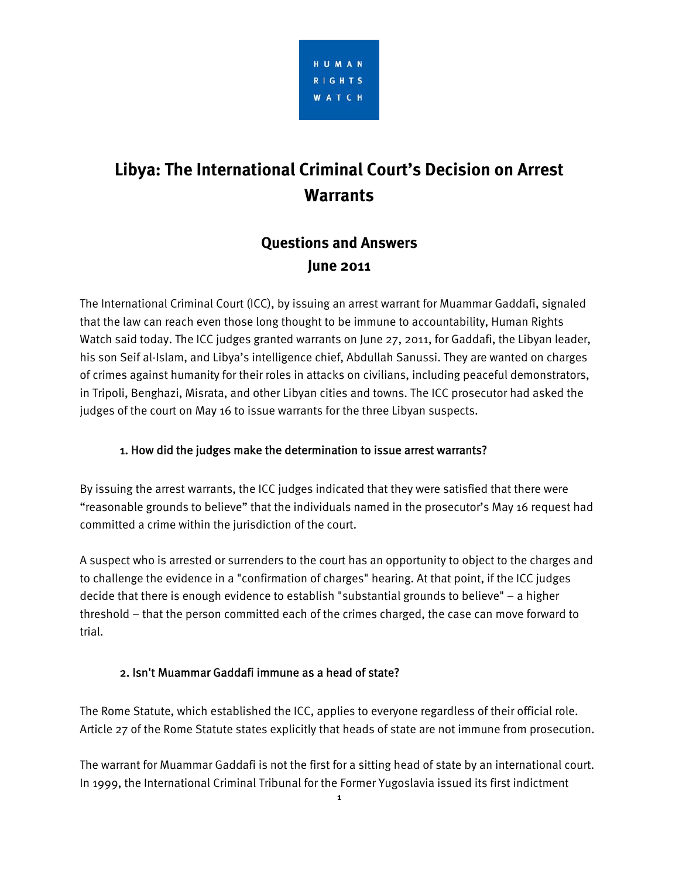

# **Libya: The International Criminal Court's Decision on Arrest Warrants**

# **Questions and Answers June 2011**

The International Criminal Court (ICC), by issuing an arrest warrant for Muammar Gaddafi, signaled that the law can reach even those long thought to be immune to accountability, Human Rights Watch said today. The ICC judges granted warrants on June 27, 2011, for Gaddafi, the Libyan leader, his son Seif al-Islam, and Libya's intelligence chief, Abdullah Sanussi. They are wanted on charges of crimes against humanity for their roles in attacks on civilians, including peaceful demonstrators, in Tripoli, Benghazi, Misrata, and other Libyan cities and towns. The ICC prosecutor had asked the judges of the court on May 16 to issue warrants for the three Libyan suspects.

# 1. How did the judges make the determination to issue arrest warrants?

By issuing the arrest warrants, the ICC judges indicated that they were satisfied that there were "reasonable grounds to believe" that the individuals named in the prosecutor's May 16 request had committed a crime within the jurisdiction of the court.

A suspect who is arrested or surrenders to the court has an opportunity to object to the charges and to challenge the evidence in a "confirmation of charges" hearing. At that point, if the ICC judges decide that there is enough evidence to establish "substantial grounds to believe" – a higher threshold – that the person committed each of the crimes charged, the case can move forward to trial.

### 2. Isn't Muammar Gaddafi immune as a head of state?

The Rome Statute, which established the ICC, applies to everyone regardless of their official role. Article 27 of the Rome Statute states explicitly that heads of state are not immune from prosecution.

The warrant for Muammar Gaddafi is not the first for a sitting head of state by an international court. In 1999, the International Criminal Tribunal for the Former Yugoslavia issued its first indictment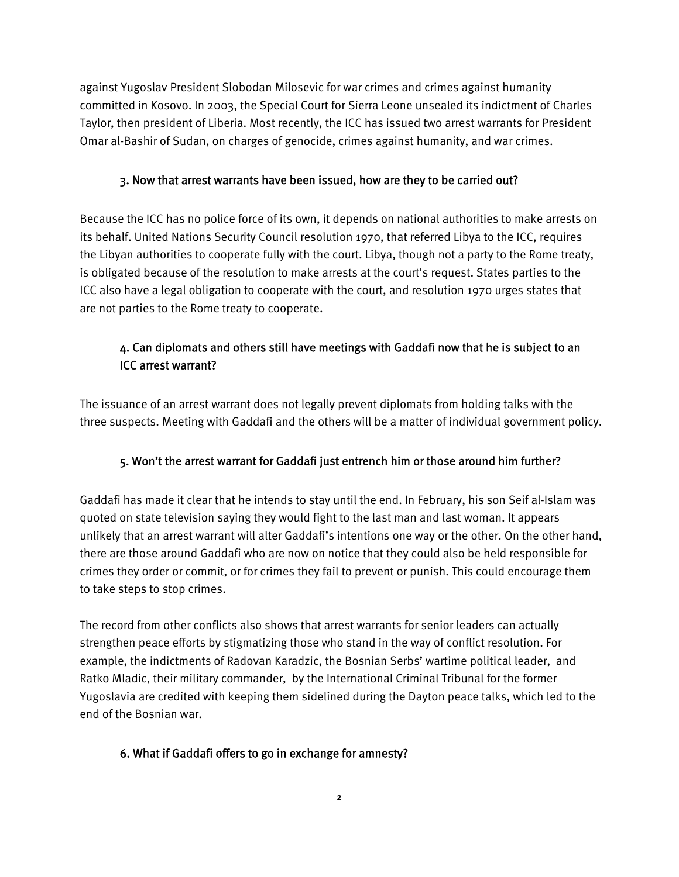against Yugoslav President Slobodan Milosevic for war crimes and crimes against humanity committed in Kosovo. In 2003, the Special Court for Sierra Leone unsealed its indictment of Charles Taylor, then president of Liberia. Most recently, the ICC has issued two arrest warrants for President Omar al-Bashir of Sudan, on charges of genocide, crimes against humanity, and war crimes.

#### 3. Now that arrest warrants have been issued, how are they to be carried out?

Because the ICC has no police force of its own, it depends on national authorities to make arrests on its behalf. United Nations Security Council resolution 1970, that referred Libya to the ICC, requires the Libyan authorities to cooperate fully with the court. Libya, though not a party to the Rome treaty, is obligated because of the resolution to make arrests at the court's request. States parties to the ICC also have a legal obligation to cooperate with the court, and resolution 1970 urges states that are not parties to the Rome treaty to cooperate.

# 4. Can diplomats and others still have meetings with Gaddafi now that he is subject to an ICC arrest warrant?

The issuance of an arrest warrant does not legally prevent diplomats from holding talks with the three suspects. Meeting with Gaddafi and the others will be a matter of individual government policy.

### 5. Won't the arrest warrant for Gaddafi just entrench him or those around him further?

Gaddafi has made it clear that he intends to stay until the end. In February, his son Seif al-Islam was quoted on state television saying they would fight to the last man and last woman. It appears unlikely that an arrest warrant will alter Gaddafi's intentions one way or the other. On the other hand, there are those around Gaddafi who are now on notice that they could also be held responsible for crimes they order or commit, or for crimes they fail to prevent or punish. This could encourage them to take steps to stop crimes.

The record from other conflicts also shows that arrest warrants for senior leaders can actually strengthen peace efforts by stigmatizing those who stand in the way of conflict resolution. For example, the indictments of Radovan Karadzic, the Bosnian Serbs' wartime political leader, and Ratko Mladic, their military commander, by the International Criminal Tribunal for the former Yugoslavia are credited with keeping them sidelined during the Dayton peace talks, which led to the end of the Bosnian war.

### 6. What if Gaddafi offers to go in exchange for amnesty?